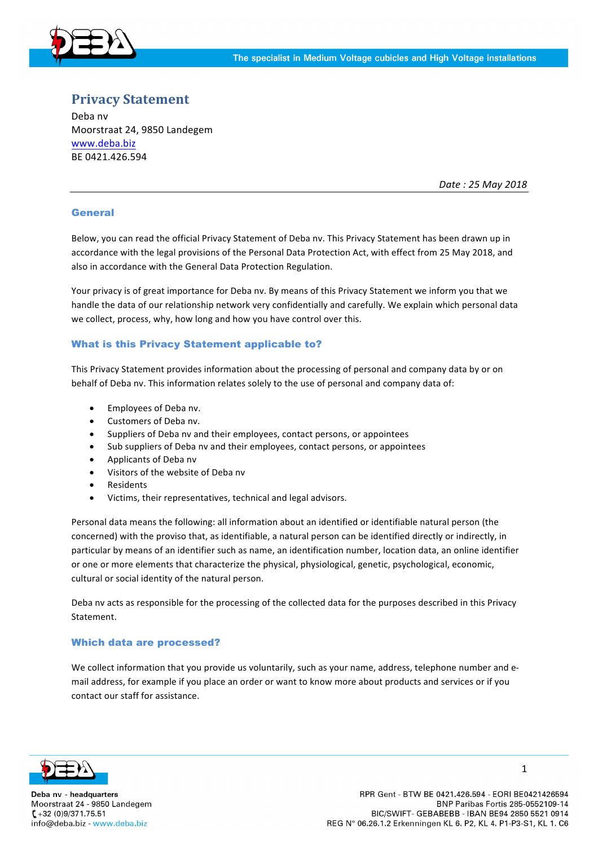

# **Privacy Statement**

Deba nv Moorstraat 24, 9850 Landegem www.deba.biz BE 0421.426.594

*Date : 25 May 2018*

## General

Below, you can read the official Privacy Statement of Deba nv. This Privacy Statement has been drawn up in accordance with the legal provisions of the Personal Data Protection Act, with effect from 25 May 2018, and also in accordance with the General Data Protection Regulation.

Your privacy is of great importance for Deba nv. By means of this Privacy Statement we inform you that we handle the data of our relationship network very confidentially and carefully. We explain which personal data we collect, process, why, how long and how you have control over this.

## What is this Privacy Statement applicable to?

This Privacy Statement provides information about the processing of personal and company data by or on behalf of Deba nv. This information relates solely to the use of personal and company data of:

- Employees of Deba nv.
- Customers of Deba nv.
- Suppliers of Deba nv and their employees, contact persons, or appointees
- Sub suppliers of Deba nv and their employees, contact persons, or appointees
- Applicants of Deba nv
- Visitors of the website of Deba nv
- **Residents**
- Victims, their representatives, technical and legal advisors.

Personal data means the following: all information about an identified or identifiable natural person (the concerned) with the proviso that, as identifiable, a natural person can be identified directly or indirectly, in particular by means of an identifier such as name, an identification number, location data, an online identifier or one or more elements that characterize the physical, physiological, genetic, psychological, economic, cultural or social identity of the natural person.

Deba nv acts as responsible for the processing of the collected data for the purposes described in this Privacy Statement.

### Which data are processed?

We collect information that you provide us voluntarily, such as your name, address, telephone number and email address, for example if you place an order or want to know more about products and services or if you contact our staff for assistance.



Deba nv - headquarters Moorstraat 24 - 9850 Landegem  $(-12 (0)9/371.75.51)$ info@deba.biz - www.deba.biz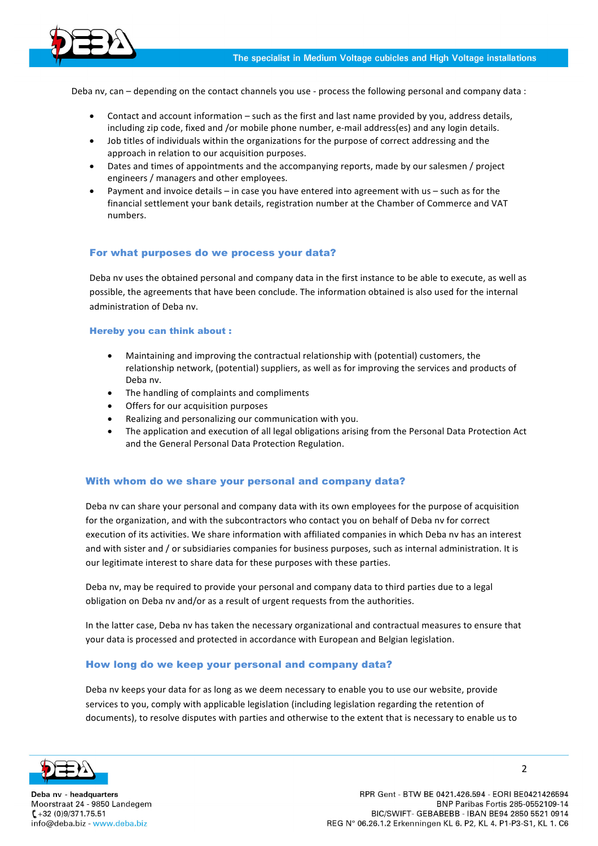

Deba nv, can – depending on the contact channels you use - process the following personal and company data :

- Contact and account information  $-$  such as the first and last name provided by you, address details, including zip code, fixed and /or mobile phone number, e-mail address(es) and any login details.
- Job titles of individuals within the organizations for the purpose of correct addressing and the approach in relation to our acquisition purposes.
- Dates and times of appointments and the accompanying reports, made by our salesmen / project engineers / managers and other employees.
- Payment and invoice details in case you have entered into agreement with us such as for the financial settlement your bank details, registration number at the Chamber of Commerce and VAT numbers.

### For what purposes do we process your data?

Deba nv uses the obtained personal and company data in the first instance to be able to execute, as well as possible, the agreements that have been conclude. The information obtained is also used for the internal administration of Deba nv.

#### Hereby you can think about :

- Maintaining and improving the contractual relationship with (potential) customers, the relationship network, (potential) suppliers, as well as for improving the services and products of Deba nv.
- The handling of complaints and compliments
- Offers for our acquisition purposes
- Realizing and personalizing our communication with you.
- The application and execution of all legal obligations arising from the Personal Data Protection Act and the General Personal Data Protection Regulation.

### With whom do we share your personal and company data?

Deba nv can share your personal and company data with its own employees for the purpose of acquisition for the organization, and with the subcontractors who contact you on behalf of Deba nv for correct execution of its activities. We share information with affiliated companies in which Deba nv has an interest and with sister and / or subsidiaries companies for business purposes, such as internal administration. It is our legitimate interest to share data for these purposes with these parties.

Deba nv, may be required to provide your personal and company data to third parties due to a legal obligation on Deba ny and/or as a result of urgent requests from the authorities.

In the latter case, Deba nv has taken the necessary organizational and contractual measures to ensure that your data is processed and protected in accordance with European and Belgian legislation.

### How long do we keep your personal and company data?

Deba nv keeps your data for as long as we deem necessary to enable you to use our website, provide services to you, comply with applicable legislation (including legislation regarding the retention of documents), to resolve disputes with parties and otherwise to the extent that is necessary to enable us to



Deba nv - headquarters Moorstraat 24 - 9850 Landegem  $(-12)(0)9/371.75.51$ info@deba.biz - www.deba.biz

RPR Gent - BTW BE 0421.426.594 - EORI BE0421426594 BNP Paribas Fortis 285-0552109-14 BIC/SWIFT- GEBABEBB - IBAN BE94 2850 5521 0914 REG N° 06.26.1.2 Erkenningen KL 6. P2, KL 4. P1-P3-S1, KL 1. C6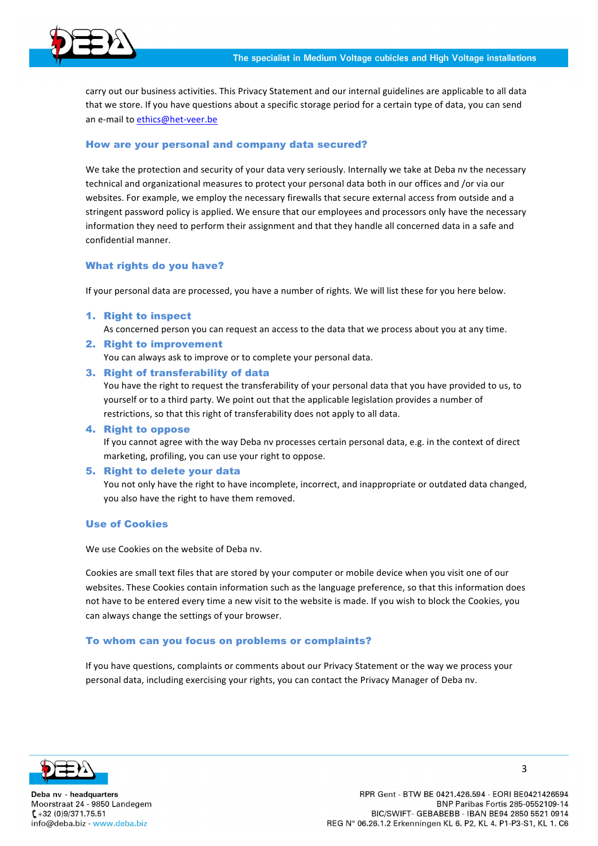

carry out our business activities. This Privacy Statement and our internal guidelines are applicable to all data that we store. If you have questions about a specific storage period for a certain type of data, you can send an e-mail to ethics@het-veer.be

# How are your personal and company data secured?

We take the protection and security of your data very seriously. Internally we take at Deba nv the necessary technical and organizational measures to protect your personal data both in our offices and /or via our websites. For example, we employ the necessary firewalls that secure external access from outside and a stringent password policy is applied. We ensure that our employees and processors only have the necessary information they need to perform their assignment and that they handle all concerned data in a safe and confidential manner.

### What rights do you have?

If your personal data are processed, you have a number of rights. We will list these for you here below.

1. Right to inspect

As concerned person you can request an access to the data that we process about you at any time.

2. Right to improvement

You can always ask to improve or to complete your personal data.

3. Right of transferability of data

You have the right to request the transferability of your personal data that you have provided to us, to yourself or to a third party. We point out that the applicable legislation provides a number of restrictions, so that this right of transferability does not apply to all data.

### 4. Right to oppose

If you cannot agree with the way Deba nv processes certain personal data, e.g. in the context of direct marketing, profiling, you can use your right to oppose.

### 5. Right to delete your data

You not only have the right to have incomplete, incorrect, and inappropriate or outdated data changed, you also have the right to have them removed.

### Use of Cookies

We use Cookies on the website of Deba ny.

Cookies are small text files that are stored by your computer or mobile device when you visit one of our websites. These Cookies contain information such as the language preference, so that this information does not have to be entered every time a new visit to the website is made. If you wish to block the Cookies, you can always change the settings of your browser.

### To whom can you focus on problems or complaints?

If you have questions, complaints or comments about our Privacy Statement or the way we process your personal data, including exercising your rights, you can contact the Privacy Manager of Deba nv.



Deba nv - headquarters Moorstraat 24 - 9850 Landegem  $(-12 (0)9/371.75.51)$ info@deba.biz - www.deba.biz